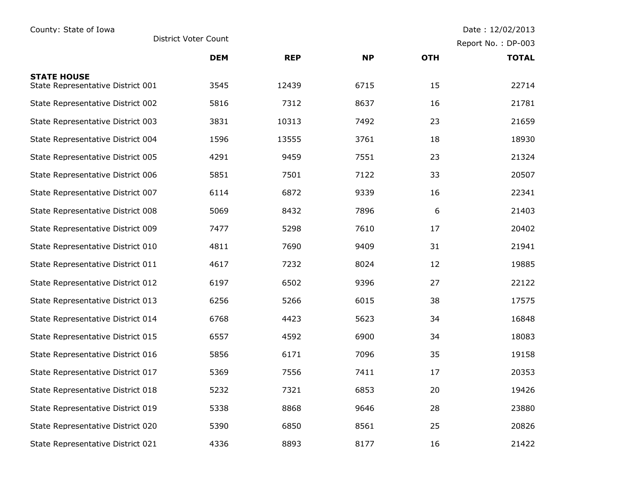| County: State of Iowa                                   | Date: 12/02/2013     |            |           |                    |              |
|---------------------------------------------------------|----------------------|------------|-----------|--------------------|--------------|
|                                                         | District Voter Count |            |           | Report No.: DP-003 |              |
|                                                         | <b>DEM</b>           | <b>REP</b> | <b>NP</b> | <b>OTH</b>         | <b>TOTAL</b> |
| <b>STATE HOUSE</b><br>State Representative District 001 | 3545                 | 12439      | 6715      | 15                 | 22714        |
| State Representative District 002                       | 5816                 | 7312       | 8637      | 16                 | 21781        |
| State Representative District 003                       | 3831                 | 10313      | 7492      | 23                 | 21659        |
| State Representative District 004                       | 1596                 | 13555      | 3761      | 18                 | 18930        |
| State Representative District 005                       | 4291                 | 9459       | 7551      | 23                 | 21324        |
| State Representative District 006                       | 5851                 | 7501       | 7122      | 33                 | 20507        |
| State Representative District 007                       | 6114                 | 6872       | 9339      | 16                 | 22341        |
| State Representative District 008                       | 5069                 | 8432       | 7896      | 6                  | 21403        |
| State Representative District 009                       | 7477                 | 5298       | 7610      | 17                 | 20402        |
| State Representative District 010                       | 4811                 | 7690       | 9409      | 31                 | 21941        |
| State Representative District 011                       | 4617                 | 7232       | 8024      | 12                 | 19885        |
| State Representative District 012                       | 6197                 | 6502       | 9396      | 27                 | 22122        |
| State Representative District 013                       | 6256                 | 5266       | 6015      | 38                 | 17575        |
| State Representative District 014                       | 6768                 | 4423       | 5623      | 34                 | 16848        |
| State Representative District 015                       | 6557                 | 4592       | 6900      | 34                 | 18083        |
| State Representative District 016                       | 5856                 | 6171       | 7096      | 35                 | 19158        |
| State Representative District 017                       | 5369                 | 7556       | 7411      | 17                 | 20353        |
| State Representative District 018                       | 5232                 | 7321       | 6853      | 20                 | 19426        |
| State Representative District 019                       | 5338                 | 8868       | 9646      | 28                 | 23880        |
| State Representative District 020                       | 5390                 | 6850       | 8561      | 25                 | 20826        |
| State Representative District 021                       | 4336                 | 8893       | 8177      | 16                 | 21422        |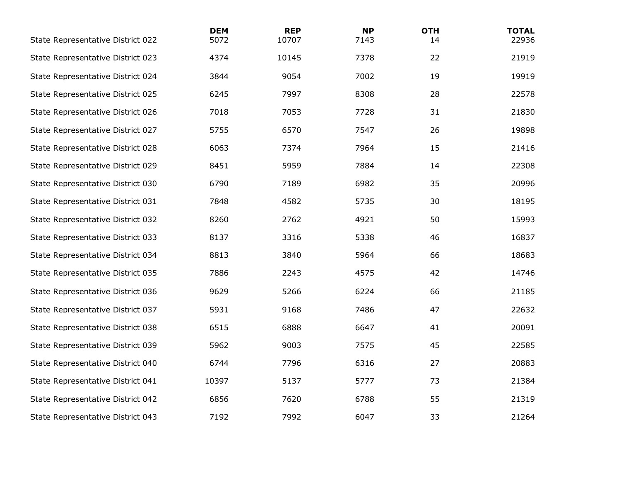| State Representative District 022 | <b>DEM</b><br>5072 | <b>REP</b><br>10707 | <b>NP</b><br>7143 | <b>OTH</b><br>14 | <b>TOTAL</b><br>22936 |
|-----------------------------------|--------------------|---------------------|-------------------|------------------|-----------------------|
| State Representative District 023 | 4374               | 10145               | 7378              | 22               | 21919                 |
| State Representative District 024 | 3844               | 9054                | 7002              | 19               | 19919                 |
| State Representative District 025 | 6245               | 7997                | 8308              | 28               | 22578                 |
| State Representative District 026 | 7018               | 7053                | 7728              | 31               | 21830                 |
| State Representative District 027 | 5755               | 6570                | 7547              | 26               | 19898                 |
| State Representative District 028 | 6063               | 7374                | 7964              | 15               | 21416                 |
| State Representative District 029 | 8451               | 5959                | 7884              | 14               | 22308                 |
| State Representative District 030 | 6790               | 7189                | 6982              | 35               | 20996                 |
| State Representative District 031 | 7848               | 4582                | 5735              | 30               | 18195                 |
| State Representative District 032 | 8260               | 2762                | 4921              | 50               | 15993                 |
| State Representative District 033 | 8137               | 3316                | 5338              | 46               | 16837                 |
| State Representative District 034 | 8813               | 3840                | 5964              | 66               | 18683                 |
| State Representative District 035 | 7886               | 2243                | 4575              | 42               | 14746                 |
| State Representative District 036 | 9629               | 5266                | 6224              | 66               | 21185                 |
| State Representative District 037 | 5931               | 9168                | 7486              | 47               | 22632                 |
| State Representative District 038 | 6515               | 6888                | 6647              | 41               | 20091                 |
| State Representative District 039 | 5962               | 9003                | 7575              | 45               | 22585                 |
| State Representative District 040 | 6744               | 7796                | 6316              | 27               | 20883                 |
| State Representative District 041 | 10397              | 5137                | 5777              | 73               | 21384                 |
| State Representative District 042 | 6856               | 7620                | 6788              | 55               | 21319                 |
| State Representative District 043 | 7192               | 7992                | 6047              | 33               | 21264                 |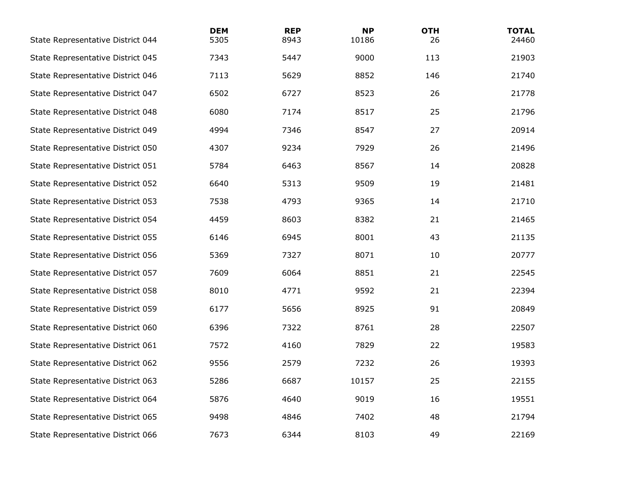| State Representative District 044 | <b>DEM</b><br>5305 | <b>REP</b><br>8943 | <b>NP</b><br>10186 | <b>OTH</b><br>26 | <b>TOTAL</b><br>24460 |
|-----------------------------------|--------------------|--------------------|--------------------|------------------|-----------------------|
| State Representative District 045 | 7343               | 5447               | 9000               | 113              | 21903                 |
| State Representative District 046 | 7113               | 5629               | 8852               | 146              | 21740                 |
| State Representative District 047 | 6502               | 6727               | 8523               | 26               | 21778                 |
| State Representative District 048 | 6080               | 7174               | 8517               | 25               | 21796                 |
| State Representative District 049 | 4994               | 7346               | 8547               | 27               | 20914                 |
| State Representative District 050 | 4307               | 9234               | 7929               | 26               | 21496                 |
| State Representative District 051 | 5784               | 6463               | 8567               | 14               | 20828                 |
| State Representative District 052 | 6640               | 5313               | 9509               | 19               | 21481                 |
| State Representative District 053 | 7538               | 4793               | 9365               | 14               | 21710                 |
| State Representative District 054 | 4459               | 8603               | 8382               | 21               | 21465                 |
| State Representative District 055 | 6146               | 6945               | 8001               | 43               | 21135                 |
| State Representative District 056 | 5369               | 7327               | 8071               | 10               | 20777                 |
| State Representative District 057 | 7609               | 6064               | 8851               | 21               | 22545                 |
| State Representative District 058 | 8010               | 4771               | 9592               | 21               | 22394                 |
| State Representative District 059 | 6177               | 5656               | 8925               | 91               | 20849                 |
| State Representative District 060 | 6396               | 7322               | 8761               | 28               | 22507                 |
| State Representative District 061 | 7572               | 4160               | 7829               | 22               | 19583                 |
| State Representative District 062 | 9556               | 2579               | 7232               | 26               | 19393                 |
| State Representative District 063 | 5286               | 6687               | 10157              | 25               | 22155                 |
| State Representative District 064 | 5876               | 4640               | 9019               | 16               | 19551                 |
| State Representative District 065 | 9498               | 4846               | 7402               | 48               | 21794                 |
| State Representative District 066 | 7673               | 6344               | 8103               | 49               | 22169                 |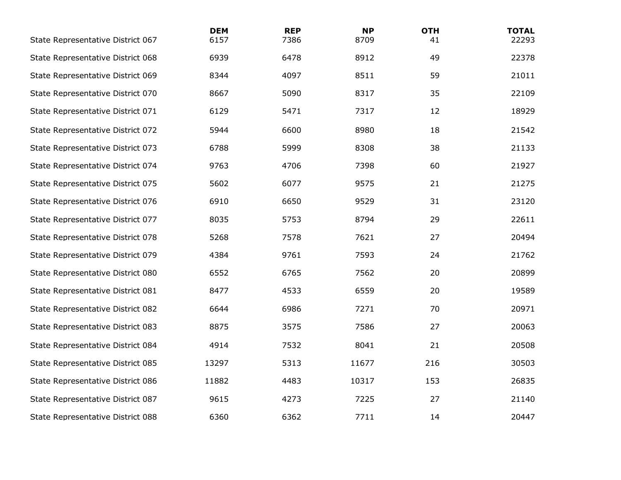| State Representative District 067 | <b>DEM</b><br>6157 | <b>REP</b><br>7386 | <b>NP</b><br>8709 | <b>OTH</b><br>41 | <b>TOTAL</b><br>22293 |
|-----------------------------------|--------------------|--------------------|-------------------|------------------|-----------------------|
| State Representative District 068 | 6939               | 6478               | 8912              | 49               | 22378                 |
| State Representative District 069 | 8344               | 4097               | 8511              | 59               | 21011                 |
| State Representative District 070 | 8667               | 5090               | 8317              | 35               | 22109                 |
| State Representative District 071 | 6129               | 5471               | 7317              | 12               | 18929                 |
| State Representative District 072 | 5944               | 6600               | 8980              | 18               | 21542                 |
| State Representative District 073 | 6788               | 5999               | 8308              | 38               | 21133                 |
| State Representative District 074 | 9763               | 4706               | 7398              | 60               | 21927                 |
| State Representative District 075 | 5602               | 6077               | 9575              | 21               | 21275                 |
| State Representative District 076 | 6910               | 6650               | 9529              | 31               | 23120                 |
| State Representative District 077 | 8035               | 5753               | 8794              | 29               | 22611                 |
| State Representative District 078 | 5268               | 7578               | 7621              | 27               | 20494                 |
| State Representative District 079 | 4384               | 9761               | 7593              | 24               | 21762                 |
| State Representative District 080 | 6552               | 6765               | 7562              | 20               | 20899                 |
| State Representative District 081 | 8477               | 4533               | 6559              | 20               | 19589                 |
| State Representative District 082 | 6644               | 6986               | 7271              | 70               | 20971                 |
| State Representative District 083 | 8875               | 3575               | 7586              | 27               | 20063                 |
| State Representative District 084 | 4914               | 7532               | 8041              | 21               | 20508                 |
| State Representative District 085 | 13297              | 5313               | 11677             | 216              | 30503                 |
| State Representative District 086 | 11882              | 4483               | 10317             | 153              | 26835                 |
| State Representative District 087 | 9615               | 4273               | 7225              | 27               | 21140                 |
| State Representative District 088 | 6360               | 6362               | 7711              | 14               | 20447                 |